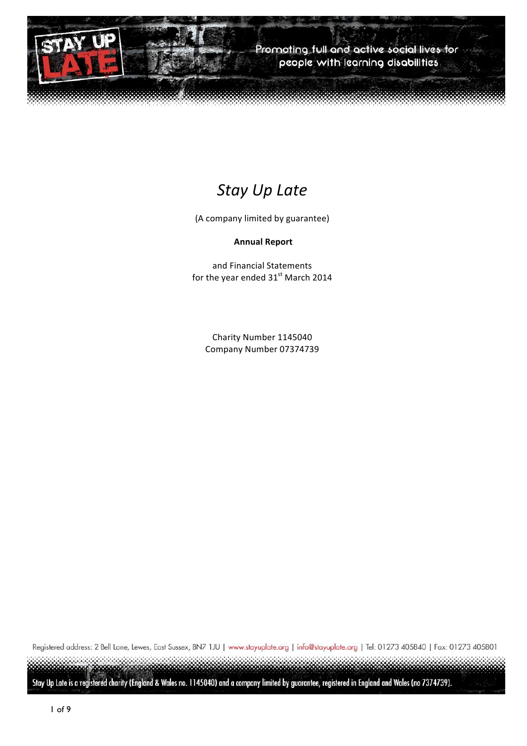

# *Stay Up Late*

(A company limited by guarantee)

#### **Annual Report**

and Financial Statements for the year ended  $31<sup>st</sup>$  March 2014

Charity Number 1145040 Company Number 07374739

Registered address: 2 Bell Lane, Lewes, East Sussex, BN7 1JU | www.stayuplate.org | info@stayuplate.org | Tel: 01273 405840 | Fax: 01273 405801

Stay Up Late is a registered charity (England & Wales no. 1145040) and a company limited by guarantee, registered in England and Wales (no 7374739).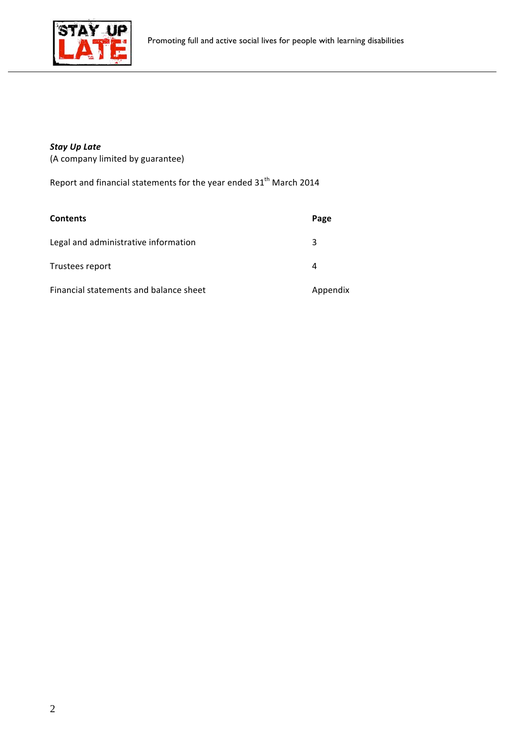

# *Stay Up Late*

(A company limited by guarantee)

Report and financial statements for the year ended  $31<sup>th</sup>$  March 2014

| <b>Contents</b>                        | Page     |
|----------------------------------------|----------|
| Legal and administrative information   | 3        |
| Trustees report                        | 4        |
| Financial statements and balance sheet | Appendix |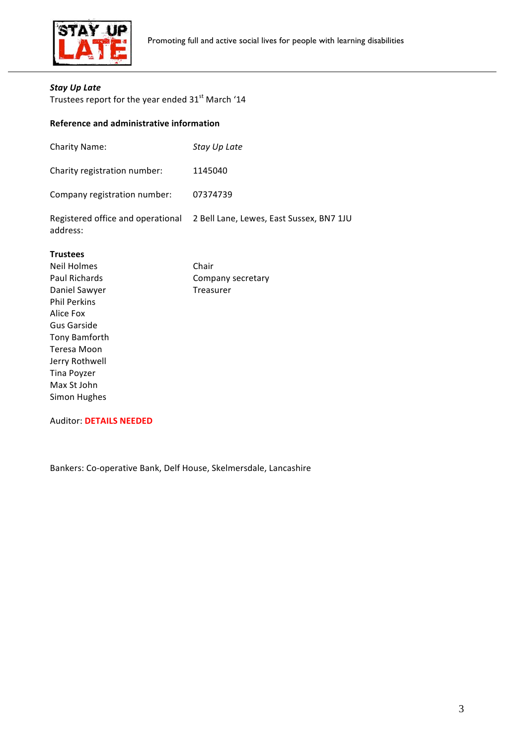

### *Stay Up Late*

Trustees report for the year ended  $31<sup>st</sup>$  March '14

### **Reference and administrative information**

| address:                     | Registered office and operational 2 Bell Lane, Lewes, East Sussex, BN7 1JU |
|------------------------------|----------------------------------------------------------------------------|
| Company registration number: | 07374739                                                                   |
| Charity registration number: | 1145040                                                                    |
| <b>Charity Name:</b>         | Stay Up Late                                                               |

#### **Trustees**

| <b>Neil Holmes</b>   | Chair             |
|----------------------|-------------------|
| <b>Paul Richards</b> | Company secretary |
| Daniel Sawyer        | Treasurer         |
| <b>Phil Perkins</b>  |                   |
| Alice Fox            |                   |
| Gus Garside          |                   |
| Tony Bamforth        |                   |
| Teresa Moon          |                   |
| Jerry Rothwell       |                   |
| Tina Poyzer          |                   |
| Max St John          |                   |
| Simon Hughes         |                   |
|                      |                   |

#### Auditor: **DETAILS NEEDED**

Bankers: Co-operative Bank, Delf House, Skelmersdale, Lancashire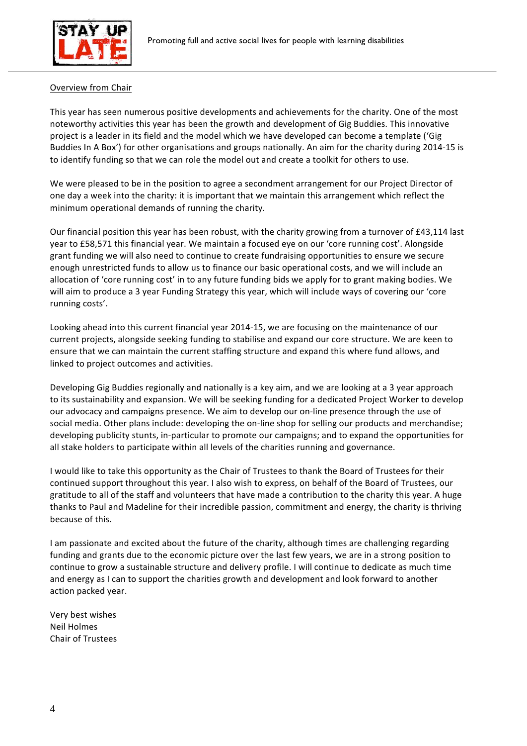

#### Overview from Chair

This year has seen numerous positive developments and achievements for the charity. One of the most noteworthy activities this year has been the growth and development of Gig Buddies. This innovative project is a leader in its field and the model which we have developed can become a template ('Gig Buddies In A Box') for other organisations and groups nationally. An aim for the charity during 2014-15 is to identify funding so that we can role the model out and create a toolkit for others to use.

We were pleased to be in the position to agree a secondment arrangement for our Project Director of one day a week into the charity: it is important that we maintain this arrangement which reflect the minimum operational demands of running the charity.

Our financial position this year has been robust, with the charity growing from a turnover of £43,114 last year to £58,571 this financial year. We maintain a focused eye on our 'core running cost'. Alongside grant funding we will also need to continue to create fundraising opportunities to ensure we secure enough unrestricted funds to allow us to finance our basic operational costs, and we will include an allocation of 'core running cost' in to any future funding bids we apply for to grant making bodies. We will aim to produce a 3 year Funding Strategy this year, which will include ways of covering our 'core running costs'.

Looking ahead into this current financial year 2014-15, we are focusing on the maintenance of our current projects, alongside seeking funding to stabilise and expand our core structure. We are keen to ensure that we can maintain the current staffing structure and expand this where fund allows, and linked to project outcomes and activities.

Developing Gig Buddies regionally and nationally is a key aim, and we are looking at a 3 year approach to its sustainability and expansion. We will be seeking funding for a dedicated Project Worker to develop our advocacy and campaigns presence. We aim to develop our on-line presence through the use of social media. Other plans include: developing the on-line shop for selling our products and merchandise; developing publicity stunts, in-particular to promote our campaigns; and to expand the opportunities for all stake holders to participate within all levels of the charities running and governance.

I would like to take this opportunity as the Chair of Trustees to thank the Board of Trustees for their continued support throughout this year. I also wish to express, on behalf of the Board of Trustees, our gratitude to all of the staff and volunteers that have made a contribution to the charity this year. A huge thanks to Paul and Madeline for their incredible passion, commitment and energy, the charity is thriving because of this.

I am passionate and excited about the future of the charity, although times are challenging regarding funding and grants due to the economic picture over the last few years, we are in a strong position to continue to grow a sustainable structure and delivery profile. I will continue to dedicate as much time and energy as I can to support the charities growth and development and look forward to another action packed year.

Very best wishes Neil Holmes Chair of Trustees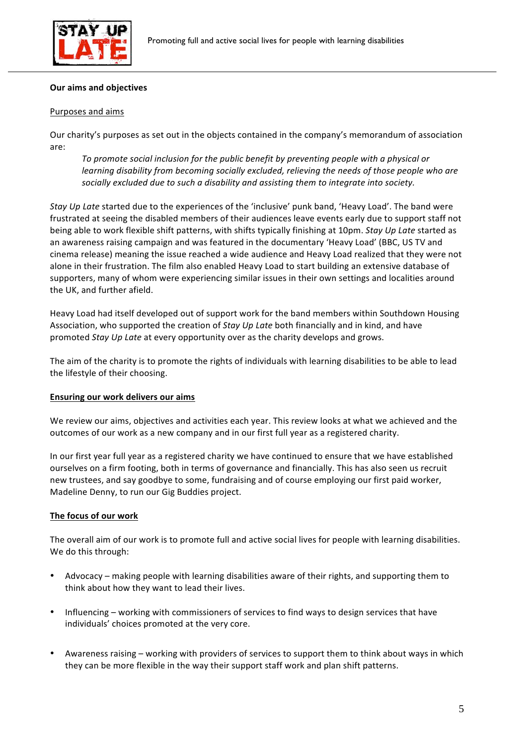

#### **Our aims and objectives**

#### Purposes and aims

Our charity's purposes as set out in the objects contained in the company's memorandum of association are:

To promote social inclusion for the public benefit by preventing people with a physical or *learning disability from becoming socially excluded, relieving the needs of those people who are* socially excluded due to such a disability and assisting them to integrate into society.

*Stay Up Late* started due to the experiences of the 'inclusive' punk band, 'Heavy Load'. The band were frustrated at seeing the disabled members of their audiences leave events early due to support staff not being able to work flexible shift patterns, with shifts typically finishing at 10pm. Stay Up Late started as an awareness raising campaign and was featured in the documentary 'Heavy Load' (BBC, US TV and cinema release) meaning the issue reached a wide audience and Heavy Load realized that they were not alone in their frustration. The film also enabled Heavy Load to start building an extensive database of supporters, many of whom were experiencing similar issues in their own settings and localities around the UK, and further afield.

Heavy Load had itself developed out of support work for the band members within Southdown Housing Association, who supported the creation of *Stay Up Late* both financially and in kind, and have promoted *Stay Up Late* at every opportunity over as the charity develops and grows.

The aim of the charity is to promote the rights of individuals with learning disabilities to be able to lead the lifestyle of their choosing.

#### **Ensuring our work delivers our aims**

We review our aims, objectives and activities each year. This review looks at what we achieved and the outcomes of our work as a new company and in our first full year as a registered charity.

In our first year full year as a registered charity we have continued to ensure that we have established ourselves on a firm footing, both in terms of governance and financially. This has also seen us recruit new trustees, and say goodbye to some, fundraising and of course employing our first paid worker, Madeline Denny, to run our Gig Buddies project.

#### The focus of our work

The overall aim of our work is to promote full and active social lives for people with learning disabilities. We do this through:

- Advocacy making people with learning disabilities aware of their rights, and supporting them to think about how they want to lead their lives.
- Influencing working with commissioners of services to find ways to design services that have individuals' choices promoted at the very core.
- Awareness raising working with providers of services to support them to think about ways in which they can be more flexible in the way their support staff work and plan shift patterns.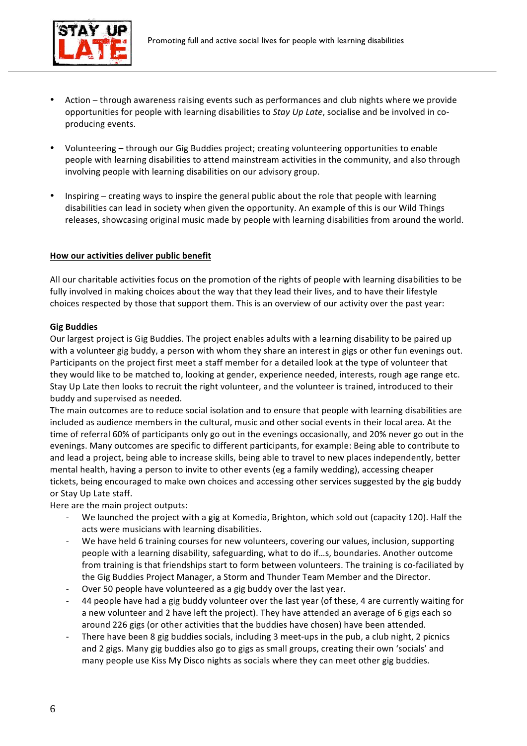

- Action through awareness raising events such as performances and club nights where we provide opportunities for people with learning disabilities to *Stay Up Late*, socialise and be involved in coproducing events.
- Volunteering through our Gig Buddies project; creating volunteering opportunities to enable people with learning disabilities to attend mainstream activities in the community, and also through involving people with learning disabilities on our advisory group.
- Inspiring  $-$  creating ways to inspire the general public about the role that people with learning disabilities can lead in society when given the opportunity. An example of this is our Wild Things releases, showcasing original music made by people with learning disabilities from around the world.

#### How our activities deliver public benefit

All our charitable activities focus on the promotion of the rights of people with learning disabilities to be fully involved in making choices about the way that they lead their lives, and to have their lifestyle choices respected by those that support them. This is an overview of our activity over the past year:

#### **Gig Buddies**

Our largest project is Gig Buddies. The project enables adults with a learning disability to be paired up with a volunteer gig buddy, a person with whom they share an interest in gigs or other fun evenings out. Participants on the project first meet a staff member for a detailed look at the type of volunteer that they would like to be matched to, looking at gender, experience needed, interests, rough age range etc. Stay Up Late then looks to recruit the right volunteer, and the volunteer is trained, introduced to their buddy and supervised as needed.

The main outcomes are to reduce social isolation and to ensure that people with learning disabilities are included as audience members in the cultural, music and other social events in their local area. At the time of referral 60% of participants only go out in the evenings occasionally, and 20% never go out in the evenings. Many outcomes are specific to different participants, for example: Being able to contribute to and lead a project, being able to increase skills, being able to travel to new places independently, better mental health, having a person to invite to other events (eg a family wedding), accessing cheaper tickets, being encouraged to make own choices and accessing other services suggested by the gig buddy or Stay Up Late staff.

Here are the main project outputs:

- We launched the project with a gig at Komedia, Brighton, which sold out (capacity 120). Half the acts were musicians with learning disabilities.
- We have held 6 training courses for new volunteers, covering our values, inclusion, supporting people with a learning disability, safeguarding, what to do if...s, boundaries. Another outcome from training is that friendships start to form between volunteers. The training is co-faciliated by the Gig Buddies Project Manager, a Storm and Thunder Team Member and the Director.
- Over 50 people have volunteered as a gig buddy over the last year.
- 44 people have had a gig buddy volunteer over the last year (of these, 4 are currently waiting for a new volunteer and 2 have left the project). They have attended an average of 6 gigs each so around 226 gigs (or other activities that the buddies have chosen) have been attended.
- There have been 8 gig buddies socials, including 3 meet-ups in the pub, a club night, 2 picnics and 2 gigs. Many gig buddies also go to gigs as small groups, creating their own 'socials' and many people use Kiss My Disco nights as socials where they can meet other gig buddies.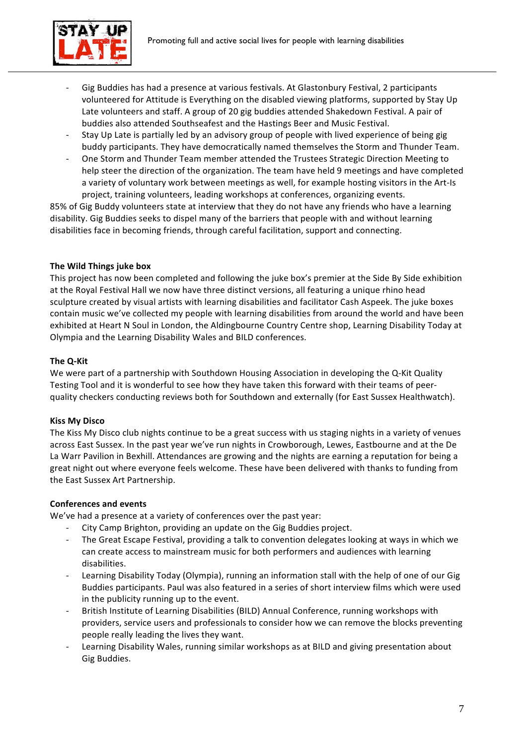

- Gig Buddies has had a presence at various festivals. At Glastonbury Festival, 2 participants volunteered for Attitude is Everything on the disabled viewing platforms, supported by Stay Up Late volunteers and staff. A group of 20 gig buddies attended Shakedown Festival. A pair of buddies also attended Southseafest and the Hastings Beer and Music Festival.
- Stay Up Late is partially led by an advisory group of people with lived experience of being gig buddy participants. They have democratically named themselves the Storm and Thunder Team.
- One Storm and Thunder Team member attended the Trustees Strategic Direction Meeting to help steer the direction of the organization. The team have held 9 meetings and have completed a variety of voluntary work between meetings as well, for example hosting visitors in the Art-Is project, training volunteers, leading workshops at conferences, organizing events.

85% of Gig Buddy volunteers state at interview that they do not have any friends who have a learning disability. Gig Buddies seeks to dispel many of the barriers that people with and without learning disabilities face in becoming friends, through careful facilitation, support and connecting.

### **The Wild Things juke box**

This project has now been completed and following the juke box's premier at the Side By Side exhibition at the Royal Festival Hall we now have three distinct versions, all featuring a unique rhino head sculpture created by visual artists with learning disabilities and facilitator Cash Aspeek. The juke boxes contain music we've collected my people with learning disabilities from around the world and have been exhibited at Heart N Soul in London, the Aldingbourne Country Centre shop, Learning Disability Today at Olympia and the Learning Disability Wales and BILD conferences.

### **The Q-Kit**

We were part of a partnership with Southdown Housing Association in developing the Q-Kit Quality Testing Tool and it is wonderful to see how they have taken this forward with their teams of peerquality checkers conducting reviews both for Southdown and externally (for East Sussex Healthwatch).

### **Kiss My Disco**

The Kiss My Disco club nights continue to be a great success with us staging nights in a variety of venues across East Sussex. In the past year we've run nights in Crowborough, Lewes, Eastbourne and at the De La Warr Pavilion in Bexhill. Attendances are growing and the nights are earning a reputation for being a great night out where everyone feels welcome. These have been delivered with thanks to funding from the East Sussex Art Partnership.

# **Conferences and events**

We've had a presence at a variety of conferences over the past year:

- City Camp Brighton, providing an update on the Gig Buddies project.
- The Great Escape Festival, providing a talk to convention delegates looking at ways in which we can create access to mainstream music for both performers and audiences with learning disabilities.
- Learning Disability Today (Olympia), running an information stall with the help of one of our Gig Buddies participants. Paul was also featured in a series of short interview films which were used in the publicity running up to the event.
- British Institute of Learning Disabilities (BILD) Annual Conference, running workshops with providers, service users and professionals to consider how we can remove the blocks preventing people really leading the lives they want.
- Learning Disability Wales, running similar workshops as at BILD and giving presentation about Gig Buddies.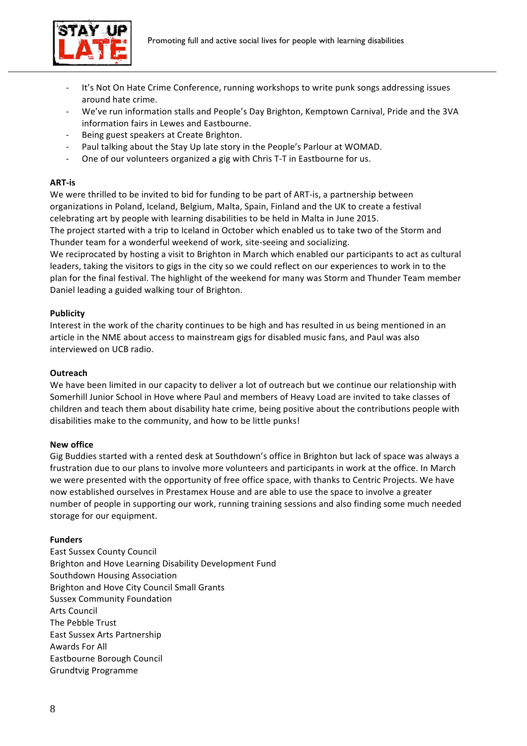



- It's Not On Hate Crime Conference, running workshops to write punk songs addressing issues around hate crime.
- We've run information stalls and People's Day Brighton, Kemptown Carnival, Pride and the 3VA information fairs in Lewes and Eastbourne.
- Being guest speakers at Create Brighton.
- Paul talking about the Stay Up late story in the People's Parlour at WOMAD.
- One of our volunteers organized a gig with Chris T-T in Eastbourne for us.

#### **ART-is**

We were thrilled to be invited to bid for funding to be part of ART-is, a partnership between organizations in Poland, Iceland, Belgium, Malta, Spain, Finland and the UK to create a festival celebrating art by people with learning disabilities to be held in Malta in June 2015.

The project started with a trip to Iceland in October which enabled us to take two of the Storm and Thunder team for a wonderful weekend of work, site-seeing and socializing.

We reciprocated by hosting a visit to Brighton in March which enabled our participants to act as cultural leaders, taking the visitors to gigs in the city so we could reflect on our experiences to work in to the plan for the final festival. The highlight of the weekend for many was Storm and Thunder Team member Daniel leading a guided walking tour of Brighton.

#### **Publicity**

Interest in the work of the charity continues to be high and has resulted in us being mentioned in an article in the NME about access to mainstream gigs for disabled music fans, and Paul was also interviewed on UCB radio.

#### **Outreach**

We have been limited in our capacity to deliver a lot of outreach but we continue our relationship with Somerhill Junior School in Hove where Paul and members of Heavy Load are invited to take classes of children and teach them about disability hate crime, being positive about the contributions people with disabilities make to the community, and how to be little punks!

#### **New office**

Gig Buddies started with a rented desk at Southdown's office in Brighton but lack of space was always a frustration due to our plans to involve more volunteers and participants in work at the office. In March we were presented with the opportunity of free office space, with thanks to Centric Projects. We have now established ourselves in Prestamex House and are able to use the space to involve a greater number of people in supporting our work, running training sessions and also finding some much needed storage for our equipment.

#### **Funders**

East Sussex County Council Brighton and Hove Learning Disability Development Fund Southdown Housing Association Brighton and Hove City Council Small Grants Sussex Community Foundation **Arts Council** The Pebble Trust East Sussex Arts Partnership Awards For All Eastbourne Borough Council Grundtvig Programme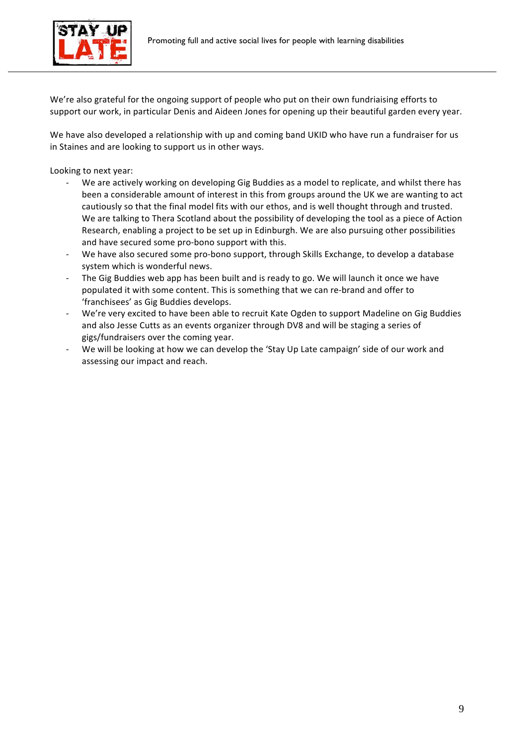

We're also grateful for the ongoing support of people who put on their own fundriaising efforts to support our work, in particular Denis and Aideen Jones for opening up their beautiful garden every year.

We have also developed a relationship with up and coming band UKID who have run a fundraiser for us in Staines and are looking to support us in other ways.

Looking to next year:

- We are actively working on developing Gig Buddies as a model to replicate, and whilst there has been a considerable amount of interest in this from groups around the UK we are wanting to act cautiously so that the final model fits with our ethos, and is well thought through and trusted. We are talking to Thera Scotland about the possibility of developing the tool as a piece of Action Research, enabling a project to be set up in Edinburgh. We are also pursuing other possibilities and have secured some pro-bono support with this.
- We have also secured some pro-bono support, through Skills Exchange, to develop a database system which is wonderful news.
- The Gig Buddies web app has been built and is ready to go. We will launch it once we have populated it with some content. This is something that we can re-brand and offer to 'franchisees' as Gig Buddies develops.
- We're very excited to have been able to recruit Kate Ogden to support Madeline on Gig Buddies and also Jesse Cutts as an events organizer through DV8 and will be staging a series of gigs/fundraisers over the coming year.
- We will be looking at how we can develop the 'Stay Up Late campaign' side of our work and assessing our impact and reach.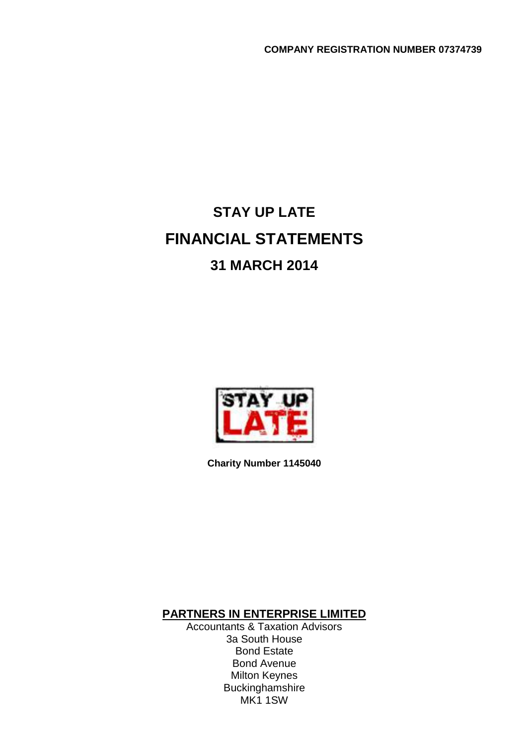# **STAY UP LATE FINANCIAL STATEMENTS 31 MARCH 2014**



**Charity Number 1145040**

**PARTNERS IN ENTERPRISE LIMITED**

Accountants & Taxation Advisors 3a South House Bond Estate Bond Avenue Milton Keynes Buckinghamshire MK1 1SW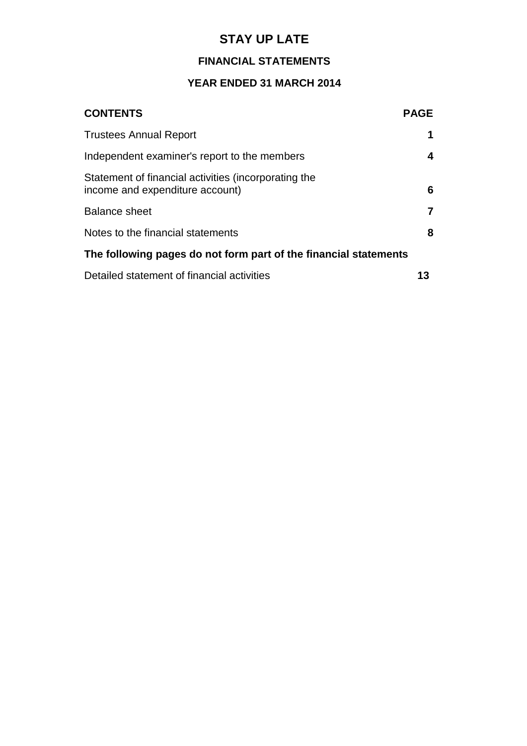# **FINANCIAL STATEMENTS**

# **YEAR ENDED 31 MARCH 2014**

| <b>CONTENTS</b>                                                                         | <b>PAGE</b> |
|-----------------------------------------------------------------------------------------|-------------|
| <b>Trustees Annual Report</b>                                                           | 1           |
| Independent examiner's report to the members                                            | 4           |
| Statement of financial activities (incorporating the<br>income and expenditure account) | 6           |
| <b>Balance sheet</b>                                                                    | 7           |
| Notes to the financial statements                                                       | 8           |
| The following pages do not form part of the financial statements                        |             |
| Detailed statement of financial activities                                              | 13          |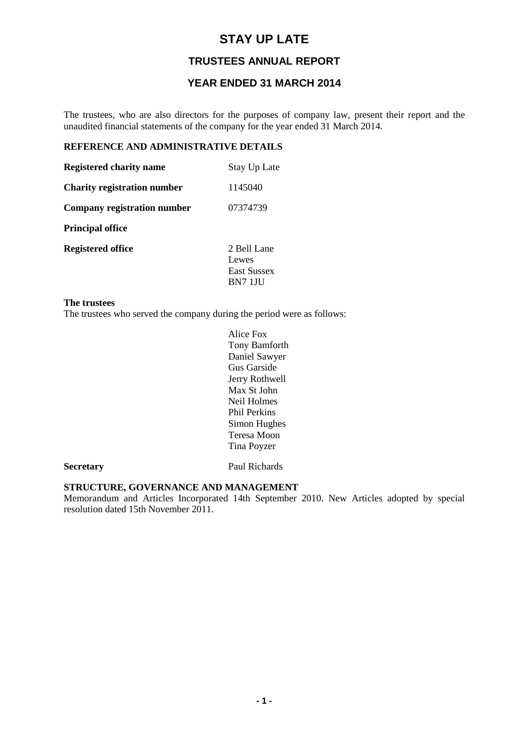## **TRUSTEES ANNUAL REPORT**

# **YEAR ENDED 31 MARCH 2014**

The trustees, who are also directors for the purposes of company law, present their report and the unaudited financial statements of the company for the year ended 31 March 2014.

# **REFERENCE AND ADMINISTRATIVE DETAILS**

| <b>Registered charity name</b>     | <b>Stay Up Late</b>                                          |
|------------------------------------|--------------------------------------------------------------|
| <b>Charity registration number</b> | 1145040                                                      |
| Company registration number        | 07374739                                                     |
| <b>Principal office</b>            |                                                              |
| <b>Registered office</b>           | 2 Bell Lane<br>Lewes<br><b>East Sussex</b><br><b>BN7 1JU</b> |

#### **The trustees**

The trustees who served the company during the period were as follows:

Alice Fox Tony Bamforth Daniel Sawyer Gus Garside Jerry Rothwell Max St John Neil Holmes Phil Perkins Simon Hughes Teresa Moon Tina Poyzer

**Secretary** Paul Richards

#### **STRUCTURE, GOVERNANCE AND MANAGEMENT**

Memorandum and Articles Incorporated 14th September 2010. New Articles adopted by special resolution dated 15th November 2011.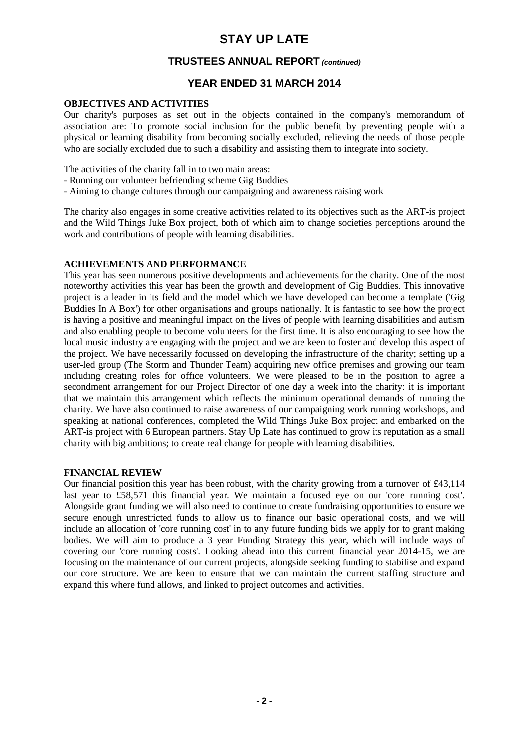### **TRUSTEES ANNUAL REPORT (continued)**

### **YEAR ENDED 31 MARCH 2014**

#### **OBJECTIVES AND ACTIVITIES**

Our charity's purposes as set out in the objects contained in the company's memorandum of association are: To promote social inclusion for the public benefit by preventing people with a physical or learning disability from becoming socially excluded, relieving the needs of those people who are socially excluded due to such a disability and assisting them to integrate into society.

The activities of the charity fall in to two main areas:

- Running our volunteer befriending scheme Gig Buddies
- Aiming to change cultures through our campaigning and awareness raising work

The charity also engages in some creative activities related to its objectives such as the ART-is project and the Wild Things Juke Box project, both of which aim to change societies perceptions around the work and contributions of people with learning disabilities.

#### **ACHIEVEMENTS AND PERFORMANCE**

This year has seen numerous positive developments and achievements for the charity. One of the most noteworthy activities this year has been the growth and development of Gig Buddies. This innovative project is a leader in its field and the model which we have developed can become a template ('Gig Buddies In A Box') for other organisations and groups nationally. It is fantastic to see how the project is having a positive and meaningful impact on the lives of people with learning disabilities and autism and also enabling people to become volunteers for the first time. It is also encouraging to see how the local music industry are engaging with the project and we are keen to foster and develop this aspect of the project. We have necessarily focussed on developing the infrastructure of the charity; setting up a user-led group (The Storm and Thunder Team) acquiring new office premises and growing our team including creating roles for office volunteers. We were pleased to be in the position to agree a secondment arrangement for our Project Director of one day a week into the charity: it is important that we maintain this arrangement which reflects the minimum operational demands of running the charity. We have also continued to raise awareness of our campaigning work running workshops, and speaking at national conferences, completed the Wild Things Juke Box project and embarked on the ART-is project with 6 European partners. Stay Up Late has continued to grow its reputation as a small charity with big ambitions; to create real change for people with learning disabilities.

#### **FINANCIAL REVIEW**

Our financial position this year has been robust, with the charity growing from a turnover of £43,114 last year to £58,571 this financial year. We maintain a focused eye on our 'core running cost'. Alongside grant funding we will also need to continue to create fundraising opportunities to ensure we secure enough unrestricted funds to allow us to finance our basic operational costs, and we will include an allocation of 'core running cost' in to any future funding bids we apply for to grant making bodies. We will aim to produce a 3 year Funding Strategy this year, which will include ways of covering our 'core running costs'. Looking ahead into this current financial year 2014-15, we are focusing on the maintenance of our current projects, alongside seeking funding to stabilise and expand our core structure. We are keen to ensure that we can maintain the current staffing structure and expand this where fund allows, and linked to project outcomes and activities.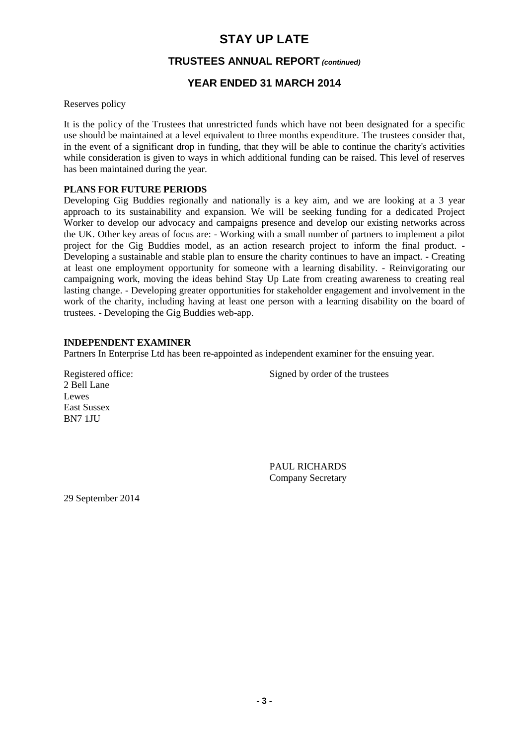### **TRUSTEES ANNUAL REPORT (continued)**

# **YEAR ENDED 31 MARCH 2014**

Reserves policy

It is the policy of the Trustees that unrestricted funds which have not been designated for a specific use should be maintained at a level equivalent to three months expenditure. The trustees consider that, in the event of a significant drop in funding, that they will be able to continue the charity's activities while consideration is given to ways in which additional funding can be raised. This level of reserves has been maintained during the year.

#### **PLANS FOR FUTURE PERIODS**

Developing Gig Buddies regionally and nationally is a key aim, and we are looking at a 3 year approach to its sustainability and expansion. We will be seeking funding for a dedicated Project Worker to develop our advocacy and campaigns presence and develop our existing networks across the UK. Other key areas of focus are: - Working with a small number of partners to implement a pilot project for the Gig Buddies model, as an action research project to inform the final product. - Developing a sustainable and stable plan to ensure the charity continues to have an impact. - Creating at least one employment opportunity for someone with a learning disability. - Reinvigorating our campaigning work, moving the ideas behind Stay Up Late from creating awareness to creating real lasting change. - Developing greater opportunities for stakeholder engagement and involvement in the work of the charity, including having at least one person with a learning disability on the board of trustees. - Developing the Gig Buddies web-app.

#### **INDEPENDENT EXAMINER**

Partners In Enterprise Ltd has been re-appointed as independent examiner for the ensuing year.

2 Bell Lane Lewes East Sussex BN7 1JU

Registered office: Signed by order of the trustees

PAUL RICHARDS Company Secretary

29 September 2014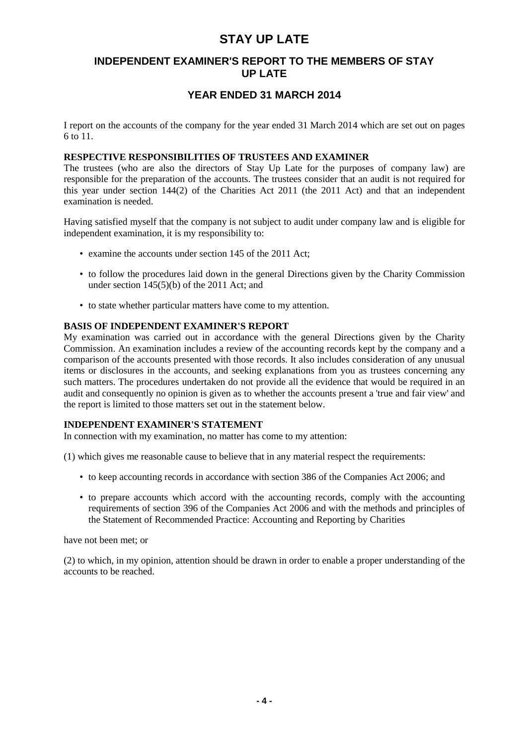## **INDEPENDENT EXAMINER'S REPORT TO THE MEMBERS OF STAY UP LATE**

# **YEAR ENDED 31 MARCH 2014**

I report on the accounts of the company for the year ended 31 March 2014 which are set out on pages 6 to 11.

### **RESPECTIVE RESPONSIBILITIES OF TRUSTEES AND EXAMINER**

The trustees (who are also the directors of Stay Up Late for the purposes of company law) are responsible for the preparation of the accounts. The trustees consider that an audit is not required for this year under section 144(2) of the Charities Act 2011 (the 2011 Act) and that an independent examination is needed.

Having satisfied myself that the company is not subject to audit under company law and is eligible for independent examination, it is my responsibility to:

- examine the accounts under section 145 of the 2011 Act;
- to follow the procedures laid down in the general Directions given by the Charity Commission under section 145(5)(b) of the 2011 Act; and
- to state whether particular matters have come to my attention.

#### **BASIS OF INDEPENDENT EXAMINER'S REPORT**

My examination was carried out in accordance with the general Directions given by the Charity Commission. An examination includes a review of the accounting records kept by the company and a comparison of the accounts presented with those records. It also includes consideration of any unusual items or disclosures in the accounts, and seeking explanations from you as trustees concerning any such matters. The procedures undertaken do not provide all the evidence that would be required in an audit and consequently no opinion is given as to whether the accounts present a 'true and fair view' and the report is limited to those matters set out in the statement below.

#### **INDEPENDENT EXAMINER'S STATEMENT**

In connection with my examination, no matter has come to my attention:

(1) which gives me reasonable cause to believe that in any material respect the requirements:

- to keep accounting records in accordance with section 386 of the Companies Act 2006; and
- to prepare accounts which accord with the accounting records, comply with the accounting requirements of section 396 of the Companies Act 2006 and with the methods and principles of the Statement of Recommended Practice: Accounting and Reporting by Charities

have not been met; or

(2) to which, in my opinion, attention should be drawn in order to enable a proper understanding of the accounts to be reached.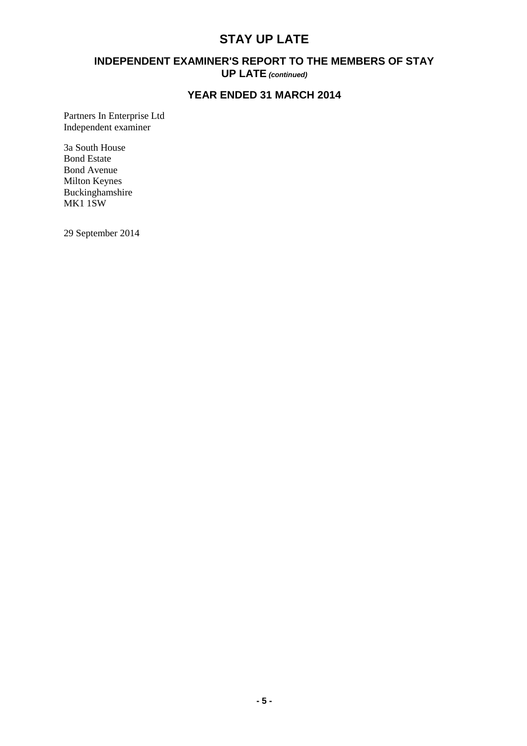## **INDEPENDENT EXAMINER'S REPORT TO THE MEMBERS OF STAY UP LATE (continued)**

# **YEAR ENDED 31 MARCH 2014**

Partners In Enterprise Ltd Independent examiner

3a South House Bond Estate Bond Avenue Milton Keynes Buckinghamshire MK1 1SW

29 September 2014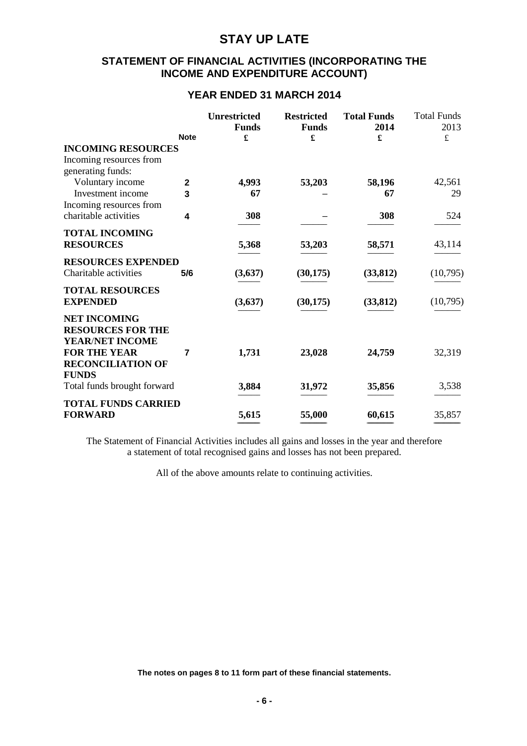### **STATEMENT OF FINANCIAL ACTIVITIES (INCORPORATING THE INCOME AND EXPENDITURE ACCOUNT)**

### **YEAR ENDED 31 MARCH 2014**

|                                                                    | <b>Note</b>  | <b>Unrestricted</b><br><b>Funds</b><br>£ | <b>Restricted</b><br><b>Funds</b><br>£ | <b>Total Funds</b><br>2014<br>£ | <b>Total Funds</b><br>2013<br>$\pounds$ |
|--------------------------------------------------------------------|--------------|------------------------------------------|----------------------------------------|---------------------------------|-----------------------------------------|
| <b>INCOMING RESOURCES</b>                                          |              |                                          |                                        |                                 |                                         |
| Incoming resources from                                            |              |                                          |                                        |                                 |                                         |
| generating funds:                                                  |              |                                          |                                        |                                 |                                         |
| Voluntary income                                                   | $\mathbf{2}$ | 4,993                                    | 53,203                                 | 58,196                          | 42,561                                  |
| Investment income                                                  | 3            | 67                                       |                                        | 67                              | 29                                      |
| Incoming resources from                                            |              |                                          |                                        |                                 |                                         |
| charitable activities                                              | 4            | 308                                      |                                        | 308                             | 524                                     |
| <b>TOTAL INCOMING</b>                                              |              |                                          |                                        |                                 |                                         |
| <b>RESOURCES</b>                                                   |              | 5,368                                    | 53,203                                 | 58,571                          | 43,114                                  |
| <b>RESOURCES EXPENDED</b>                                          |              |                                          |                                        |                                 |                                         |
| Charitable activities                                              | 5/6          | (3,637)                                  | (30, 175)                              | (33, 812)                       | (10,795)                                |
| <b>TOTAL RESOURCES</b>                                             |              |                                          |                                        |                                 |                                         |
| <b>EXPENDED</b>                                                    |              | (3,637)                                  | (30, 175)                              | (33, 812)                       | (10,795)                                |
| <b>NET INCOMING</b><br><b>RESOURCES FOR THE</b><br>YEAR/NET INCOME |              |                                          |                                        |                                 |                                         |
| <b>FOR THE YEAR</b><br><b>RECONCILIATION OF</b><br><b>FUNDS</b>    | 7            | 1,731                                    | 23,028                                 | 24,759                          | 32,319                                  |
| Total funds brought forward                                        |              | 3,884                                    | 31,972                                 | 35,856                          | 3,538                                   |
| <b>TOTAL FUNDS CARRIED</b>                                         |              |                                          |                                        |                                 |                                         |
| <b>FORWARD</b>                                                     |              | 5,615                                    | 55,000                                 | 60,615                          | 35,857                                  |

The Statement of Financial Activities includes all gains and losses in the year and therefore a statement of total recognised gains and losses has not been prepared.

All of the above amounts relate to continuing activities.

**The notes on pages 8 to 11 form part of these financial statements.**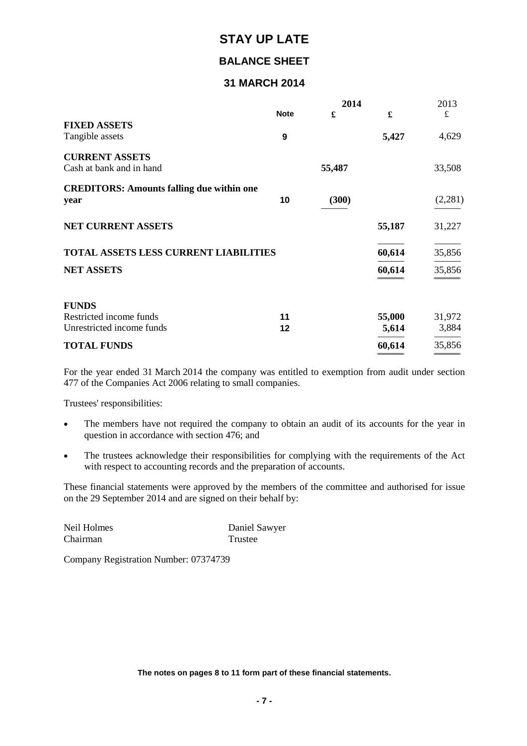# **BALANCE SHEET**

# **31 MARCH 2014**

|                                                          |             | 2014   |        | 2013    |
|----------------------------------------------------------|-------------|--------|--------|---------|
|                                                          | <b>Note</b> | £      | £      | £       |
| <b>FIXED ASSETS</b><br>Tangible assets                   | 9           |        | 5,427  | 4,629   |
| <b>CURRENT ASSETS</b>                                    |             |        |        |         |
| Cash at bank and in hand                                 |             | 55,487 |        | 33,508  |
| <b>CREDITORS: Amounts falling due within one</b><br>year | 10          | (300)  |        | (2,281) |
| <b>NET CURRENT ASSETS</b>                                |             |        | 55,187 | 31,227  |
| <b>TOTAL ASSETS LESS CURRENT LIABILITIES</b>             |             |        | 60,614 | 35,856  |
| <b>NET ASSETS</b>                                        |             |        | 60,614 | 35,856  |
| <b>FUNDS</b>                                             |             |        |        |         |
| Restricted income funds                                  | 11          |        | 55,000 | 31,972  |
| Unrestricted income funds                                | 12          |        | 5,614  | 3,884   |
| <b>TOTAL FUNDS</b>                                       |             |        | 60,614 | 35,856  |

For the year ended 31 March 2014 the company was entitled to exemption from audit under section 477 of the Companies Act 2006 relating to small companies.

=============================== ===============================

Trustees' responsibilities:

- The members have not required the company to obtain an audit of its accounts for the year in question in accordance with section 476; and
- The trustees acknowledge their responsibilities for complying with the requirements of the Act with respect to accounting records and the preparation of accounts.

These financial statements were approved by the members of the committee and authorised for issue on the 29 September 2014 and are signed on their behalf by:

| Neil Holmes | Daniel Sawyer |
|-------------|---------------|
| Chairman    | Trustee       |

Company Registration Number: 07374739

**The notes on pages 8 to 11 form part of these financial statements.**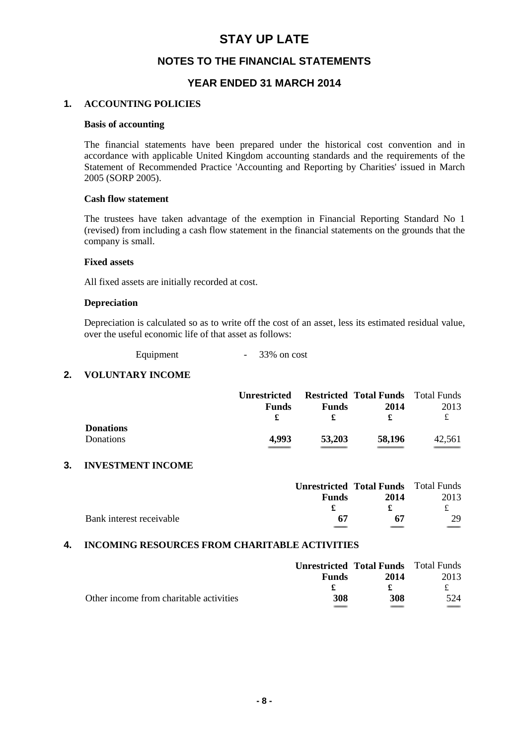### **NOTES TO THE FINANCIAL STATEMENTS**

# **YEAR ENDED 31 MARCH 2014**

#### **1. ACCOUNTING POLICIES**

#### **Basis of accounting**

The financial statements have been prepared under the historical cost convention and in accordance with applicable United Kingdom accounting standards and the requirements of the Statement of Recommended Practice 'Accounting and Reporting by Charities' issued in March 2005 (SORP 2005).

#### **Cash flow statement**

The trustees have taken advantage of the exemption in Financial Reporting Standard No 1 (revised) from including a cash flow statement in the financial statements on the grounds that the company is small.

#### **Fixed assets**

All fixed assets are initially recorded at cost.

#### **Depreciation**

Depreciation is calculated so as to write off the cost of an asset, less its estimated residual value, over the useful economic life of that asset as follows:

Equipment - 33% on cost

#### **2. VOLUNTARY INCOME**

|                  | <b>Unrestricted</b> |              | <b>Restricted Total Funds</b> Total Funds |        |
|------------------|---------------------|--------------|-------------------------------------------|--------|
|                  | <b>Funds</b>        | <b>Funds</b> | 2014                                      | 2013   |
|                  | £                   |              |                                           | £      |
| <b>Donations</b> |                     |              |                                           |        |
| Donations        | 4.993               | 53,203       | 58,196                                    | 42.561 |
|                  |                     |              |                                           |        |

#### **3. INVESTMENT INCOME**

|                          |              | <b>Unrestricted Total Funds</b> Total Funds |      |
|--------------------------|--------------|---------------------------------------------|------|
|                          | <b>Funds</b> | 2014                                        | 2013 |
|                          |              |                                             |      |
| Bank interest receivable | 67           | 67                                          | 29.  |
|                          |              |                                             |      |

#### **4. INCOMING RESOURCES FROM CHARITABLE ACTIVITIES**

|                                         |              | <b>Unrestricted Total Funds</b> Total Funds |      |
|-----------------------------------------|--------------|---------------------------------------------|------|
|                                         | <b>Funds</b> | 2014                                        | 2013 |
|                                         |              |                                             |      |
| Other income from charitable activities | 308          | 308                                         | 524  |
|                                         |              |                                             |      |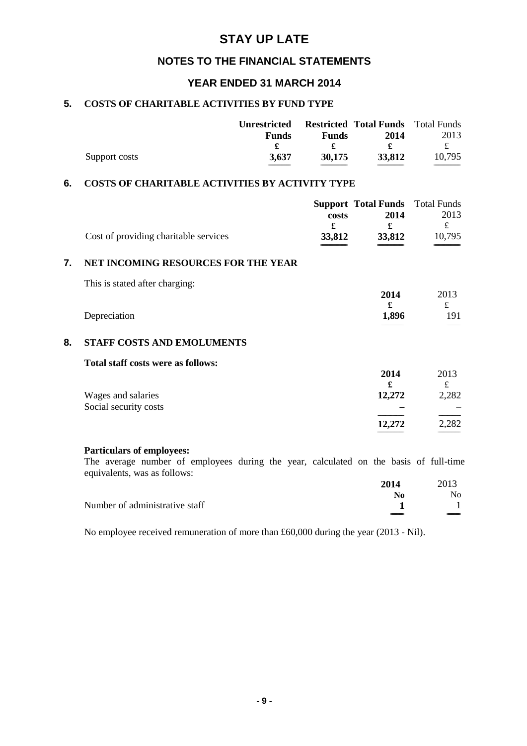## **NOTES TO THE FINANCIAL STATEMENTS**

## **YEAR ENDED 31 MARCH 2014**

### **5. COSTS OF CHARITABLE ACTIVITIES BY FUND TYPE**

|               | <b>Unrestricted</b> |              | <b>Restricted Total Funds</b> Total Funds |        |
|---------------|---------------------|--------------|-------------------------------------------|--------|
|               | <b>Funds</b>        | <b>Funds</b> | 2014                                      | 2013   |
|               |                     |              |                                           |        |
| Support costs | 3.637               | 30.175       | 33.812                                    | 10.795 |
|               |                     |              |                                           |        |

### **6. COSTS OF CHARITABLE ACTIVITIES BY ACTIVITY TYPE**

|    |                                             | costs       | <b>Support Total Funds</b><br>2014 | <b>Total Funds</b><br>2013<br>$\mathbf f$ |
|----|---------------------------------------------|-------------|------------------------------------|-------------------------------------------|
|    | Cost of providing charitable services       | £<br>33,812 | £<br>33,812                        | 10,795                                    |
| 7. | NET INCOMING RESOURCES FOR THE YEAR         |             |                                    |                                           |
|    | This is stated after charging:              |             |                                    |                                           |
|    | Depreciation                                |             | 2014<br>£<br>1,896                 | 2013<br>£<br>191                          |
| 8. | <b>STAFF COSTS AND EMOLUMENTS</b>           |             |                                    |                                           |
|    | <b>Total staff costs were as follows:</b>   |             | 2014<br>£                          | 2013<br>£                                 |
|    | Wages and salaries<br>Social security costs |             | 12,272                             | 2,282                                     |
|    |                                             |             | 12.272                             | 2,282                                     |
|    | <b>Particulars of employees:</b>            |             |                                    |                                           |

The average number of employees during the year, calculated on the basis of full-time equivalents, was as follows:

|                                | 2014  | 2013 |
|--------------------------------|-------|------|
|                                | No    | No.  |
| Number of administrative staff |       |      |
|                                | _____ |      |

No employee received remuneration of more than £60,000 during the year (2013 - Nil).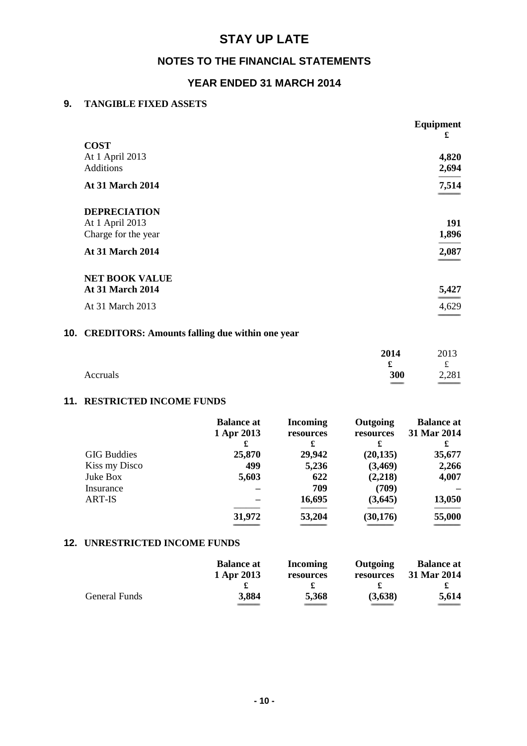# **NOTES TO THE FINANCIAL STATEMENTS**

# **YEAR ENDED 31 MARCH 2014**

### **9. TANGIBLE FIXED ASSETS**

|                                        | <b>Equipment</b><br>£ |
|----------------------------------------|-----------------------|
| <b>COST</b>                            |                       |
| At 1 April 2013<br><b>Additions</b>    | 4,820<br>2,694        |
| <b>At 31 March 2014</b>                | 7,514                 |
| <b>DEPRECIATION</b>                    |                       |
| At 1 April 2013<br>Charge for the year | 191<br>1,896          |
| <b>At 31 March 2014</b>                | 2,087                 |
| <b>NET BOOK VALUE</b>                  |                       |
| <b>At 31 March 2014</b>                | 5,427                 |
| At 31 March 2013                       | 4,629                 |

# **10. CREDITORS: Amounts falling due within one year**

|          | 2014 | 2013   |
|----------|------|--------|
|          | x    | £      |
| Accruals | 300  | 2,281  |
|          | $ -$ | ______ |

### **11. RESTRICTED INCOME FUNDS**

|                    | <b>Balance at</b><br>1 Apr 2013 | <b>Incoming</b><br>resources | Outgoing<br>resources | <b>Balance at</b><br>31 Mar 2014 |
|--------------------|---------------------------------|------------------------------|-----------------------|----------------------------------|
|                    | £                               | £                            | £                     | £                                |
| <b>GIG Buddies</b> | 25,870                          | 29,942                       | (20, 135)             | 35,677                           |
| Kiss my Disco      | 499                             | 5,236                        | (3,469)               | 2,266                            |
| Juke Box           | 5,603                           | 622                          | (2,218)               | 4,007                            |
| Insurance          |                                 | 709                          | (709)                 |                                  |
| <b>ART-IS</b>      |                                 | 16,695                       | (3,645)               | 13,050                           |
|                    | 31,972                          | 53,204                       | (30, 176)             | 55,000                           |
|                    |                                 |                              |                       |                                  |

### **12. UNRESTRICTED INCOME FUNDS**

|               | <b>Balance at</b> | Incoming  | Outgoing  | <b>Balance at</b> |
|---------------|-------------------|-----------|-----------|-------------------|
|               | 1 Apr 2013        | resources | resources | 31 Mar 2014       |
|               |                   |           |           |                   |
| General Funds | 3,884             | 5,368     | (3,638)   | 5,614             |
|               |                   |           |           |                   |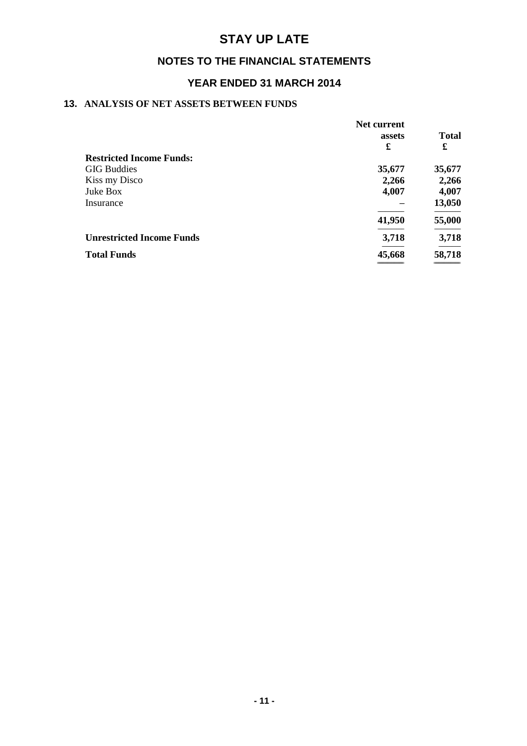# **NOTES TO THE FINANCIAL STATEMENTS**

# **YEAR ENDED 31 MARCH 2014**

### **13. ANALYSIS OF NET ASSETS BETWEEN FUNDS**

|                                  | Net current |              |
|----------------------------------|-------------|--------------|
|                                  | assets      | <b>Total</b> |
|                                  | £           | £            |
| <b>Restricted Income Funds:</b>  |             |              |
| <b>GIG Buddies</b>               | 35,677      | 35,677       |
| Kiss my Disco                    | 2,266       | 2,266        |
| Juke Box                         | 4,007       | 4,007        |
| Insurance                        |             | 13,050       |
|                                  | 41,950      | 55,000       |
| <b>Unrestricted Income Funds</b> | 3,718       | 3,718        |
| <b>Total Funds</b>               | 45,668      | 58,718       |
|                                  |             |              |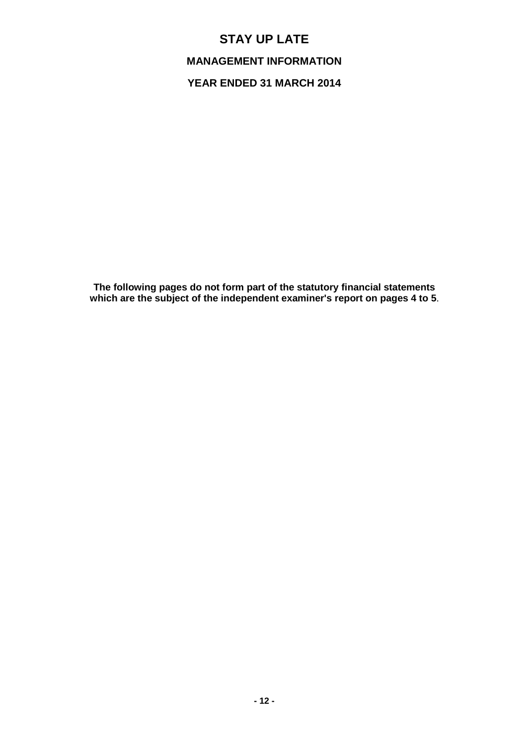**MANAGEMENT INFORMATION**

**YEAR ENDED 31 MARCH 2014**

**The following pages do not form part of the statutory financial statements which are the subject of the independent examiner's report on pages 4 to 5**.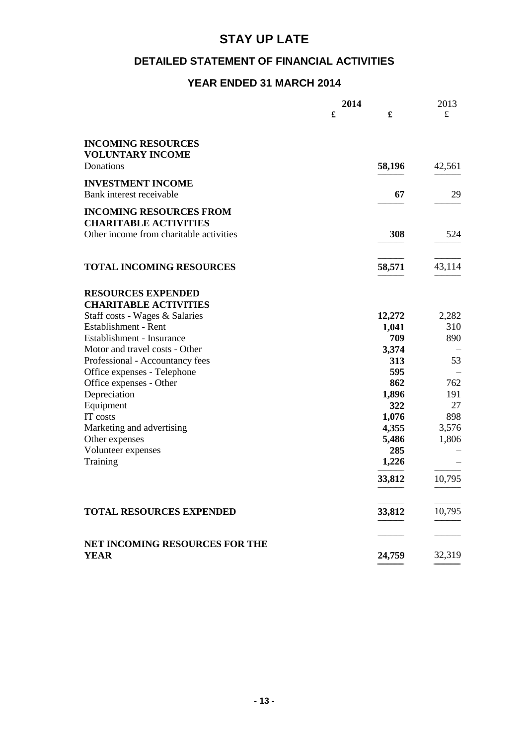# **DETAILED STATEMENT OF FINANCIAL ACTIVITIES**

# **YEAR ENDED 31 MARCH 2014**

|                                               | 2014 |        | 2013      |
|-----------------------------------------------|------|--------|-----------|
|                                               | £    | £      | $\pounds$ |
| <b>INCOMING RESOURCES</b>                     |      |        |           |
| <b>VOLUNTARY INCOME</b>                       |      |        |           |
| Donations                                     |      | 58,196 | 42,561    |
|                                               |      |        |           |
| <b>INVESTMENT INCOME</b>                      |      |        |           |
| Bank interest receivable                      |      | 67     | 29        |
| <b>INCOMING RESOURCES FROM</b>                |      |        |           |
| <b>CHARITABLE ACTIVITIES</b>                  |      |        |           |
| Other income from charitable activities       |      | 308    | 524       |
|                                               |      |        |           |
| <b>TOTAL INCOMING RESOURCES</b>               |      | 58,571 | 43,114    |
|                                               |      |        |           |
| <b>RESOURCES EXPENDED</b>                     |      |        |           |
| <b>CHARITABLE ACTIVITIES</b>                  |      |        |           |
| Staff costs - Wages & Salaries                |      | 12,272 | 2,282     |
| Establishment - Rent                          |      | 1,041  | 310       |
| Establishment - Insurance                     |      | 709    | 890       |
| Motor and travel costs - Other                |      | 3,374  |           |
| Professional - Accountancy fees               |      | 313    | 53        |
| Office expenses - Telephone                   |      | 595    |           |
| Office expenses - Other                       |      | 862    | 762       |
| Depreciation                                  |      | 1,896  | 191       |
| Equipment                                     |      | 322    | 27        |
| IT costs                                      |      | 1,076  | 898       |
| Marketing and advertising                     |      | 4,355  | 3,576     |
| Other expenses                                |      | 5,486  | 1,806     |
| Volunteer expenses                            |      | 285    |           |
| Training                                      |      | 1,226  |           |
|                                               |      | 33,812 | 10,795    |
| <b>TOTAL RESOURCES EXPENDED</b>               |      | 33,812 | 10,795    |
|                                               |      |        |           |
|                                               |      |        |           |
| NET INCOMING RESOURCES FOR THE<br><b>YEAR</b> |      | 24,759 | 32,319    |
|                                               |      |        |           |